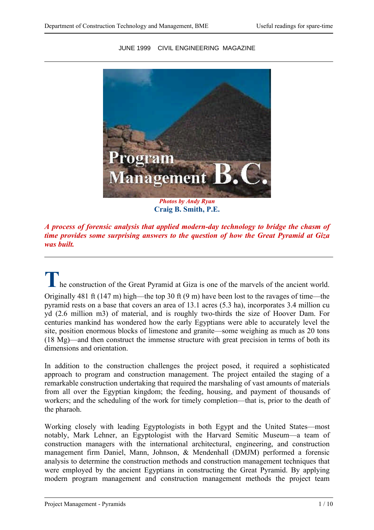

JUNE 1999 CIVIL ENGINEERING MAGAZINE

**Craig B. Smith, P.E.**

*A process of forensic analysis that applied modern-day technology to bridge the chasm of time provides some surprising answers to the question of how the Great Pyramid at Giza was built.*

**T** he construction of the Great Pyramid at Giza is one of the marvels of the ancient world. Originally 481 ft (147 m) high—the top 30 ft (9 m) have been lost to the ravages of time—the pyramid rests on a base that covers an area of 13.1 acres (5.3 ha), incorporates 3.4 million cu yd (2.6 million m3) of material, and is roughly two-thirds the size of Hoover Dam. For centuries mankind has wondered how the early Egyptians were able to accurately level the site, position enormous blocks of limestone and granite—some weighing as much as 20 tons (18 Mg)—and then construct the immense structure with great precision in terms of both its dimensions and orientation.

In addition to the construction challenges the project posed, it required a sophisticated approach to program and construction management. The project entailed the staging of a remarkable construction undertaking that required the marshaling of vast amounts of materials from all over the Egyptian kingdom; the feeding, housing, and payment of thousands of workers; and the scheduling of the work for timely completion—that is, prior to the death of the pharaoh.

Working closely with leading Egyptologists in both Egypt and the United States—most notably, Mark Lehner, an Egyptologist with the Harvard Semitic Museum—a team of construction managers with the international architectural, engineering, and construction management firm Daniel, Mann, Johnson, & Mendenhall (DMJM) performed a forensic analysis to determine the construction methods and construction management techniques that were employed by the ancient Egyptians in constructing the Great Pyramid. By applying modern program management and construction management methods the project team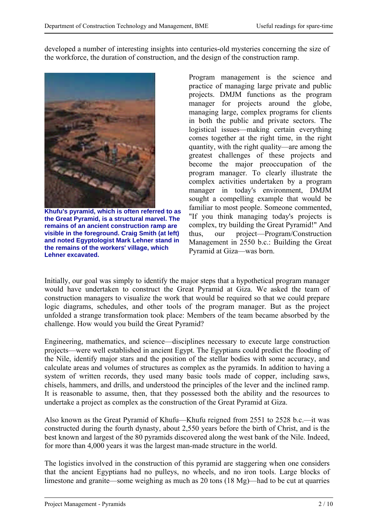developed a number of interesting insights into centuries-old mysteries concerning the size of the workforce, the duration of construction, and the design of the construction ramp.



**Khufu's pyramid, which is often referred to as the Great Pyramid, is a structural marvel. The remains of an ancient construction ramp are visible in the foreground. Craig Smith (at left) and noted Egyptologist Mark Lehner stand in the remains of the workers' village, which Lehner excavated.**

Program management is the science and practice of managing large private and public projects. DMJM functions as the program manager for projects around the globe, managing large, complex programs for clients in both the public and private sectors. The logistical issues—making certain everything comes together at the right time, in the right quantity, with the right quality—are among the greatest challenges of these projects and become the major preoccupation of the program manager. To clearly illustrate the complex activities undertaken by a program manager in today's environment, DMJM sought a compelling example that would be familiar to most people. Someone commented, "If you think managing today's projects is complex, try building the Great Pyramid!" And thus, our project—Program/Construction Management in 2550 b.c.: Building the Great Pyramid at Giza—was born.

Initially, our goal was simply to identify the major steps that a hypothetical program manager would have undertaken to construct the Great Pyramid at Giza. We asked the team of construction managers to visualize the work that would be required so that we could prepare logic diagrams, schedules, and other tools of the program manager. But as the project unfolded a strange transformation took place: Members of the team became absorbed by the challenge. How would you build the Great Pyramid?

Engineering, mathematics, and science—disciplines necessary to execute large construction projects—were well established in ancient Egypt. The Egyptians could predict the flooding of the Nile, identify major stars and the position of the stellar bodies with some accuracy, and calculate areas and volumes of structures as complex as the pyramids. In addition to having a system of written records, they used many basic tools made of copper, including saws, chisels, hammers, and drills, and understood the principles of the lever and the inclined ramp. It is reasonable to assume, then, that they possessed both the ability and the resources to undertake a project as complex as the construction of the Great Pyramid at Giza.

Also known as the Great Pyramid of Khufu—Khufu reigned from 2551 to 2528 b.c.—it was constructed during the fourth dynasty, about 2,550 years before the birth of Christ, and is the best known and largest of the 80 pyramids discovered along the west bank of the Nile. Indeed, for more than 4,000 years it was the largest man-made structure in the world.

The logistics involved in the construction of this pyramid are staggering when one considers that the ancient Egyptians had no pulleys, no wheels, and no iron tools. Large blocks of limestone and granite—some weighing as much as 20 tons (18 Mg)—had to be cut at quarries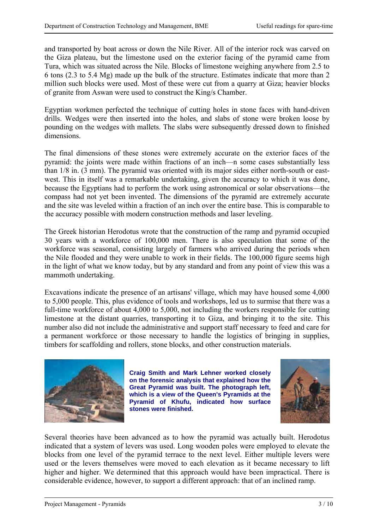and transported by boat across or down the Nile River. All of the interior rock was carved on the Giza plateau, but the limestone used on the exterior facing of the pyramid came from Tura, which was situated across the Nile. Blocks of limestone weighing anywhere from 2.5 to 6 tons (2.3 to 5.4 Mg) made up the bulk of the structure. Estimates indicate that more than 2 million such blocks were used. Most of these were cut from a quarry at Giza; heavier blocks of granite from Aswan were used to construct the King/s Chamber.

Egyptian workmen perfected the technique of cutting holes in stone faces with hand-driven drills. Wedges were then inserted into the holes, and slabs of stone were broken loose by pounding on the wedges with mallets. The slabs were subsequently dressed down to finished dimensions.

The final dimensions of these stones were extremely accurate on the exterior faces of the pyramid: the joints were made within fractions of an inch—n some cases substantially less than 1/8 in. (3 mm). The pyramid was oriented with its major sides either north-south or eastwest. This in itself was a remarkable undertaking, given the accuracy to which it was done, because the Egyptians had to perform the work using astronomical or solar observations—the compass had not yet been invented. The dimensions of the pyramid are extremely accurate and the site was leveled within a fraction of an inch over the entire base. This is comparable to the accuracy possible with modern construction methods and laser leveling.

The Greek historian Herodotus wrote that the construction of the ramp and pyramid occupied 30 years with a workforce of 100,000 men. There is also speculation that some of the workforce was seasonal, consisting largely of farmers who arrived during the periods when the Nile flooded and they were unable to work in their fields. The 100,000 figure seems high in the light of what we know today, but by any standard and from any point of view this was a mammoth undertaking.

Excavations indicate the presence of an artisans' village, which may have housed some 4,000 to 5,000 people. This, plus evidence of tools and workshops, led us to surmise that there was a full-time workforce of about 4,000 to 5,000, not including the workers responsible for cutting limestone at the distant quarries, transporting it to Giza, and bringing it to the site. This number also did not include the administrative and support staff necessary to feed and care for a permanent workforce or those necessary to handle the logistics of bringing in supplies, timbers for scaffolding and rollers, stone blocks, and other construction materials.



**Craig Smith and Mark Lehner worked closely on the forensic analysis that explained how the Great Pyramid was built. The photograph left, which is a view of the Queen's Pyramids at the Pyramid of Khufu, indicated how surface stones were finished.**



Several theories have been advanced as to how the pyramid was actually built. Herodotus indicated that a system of levers was used. Long wooden poles were employed to elevate the blocks from one level of the pyramid terrace to the next level. Either multiple levers were used or the levers themselves were moved to each elevation as it became necessary to lift higher and higher. We determined that this approach would have been impractical. There is considerable evidence, however, to support a different approach: that of an inclined ramp.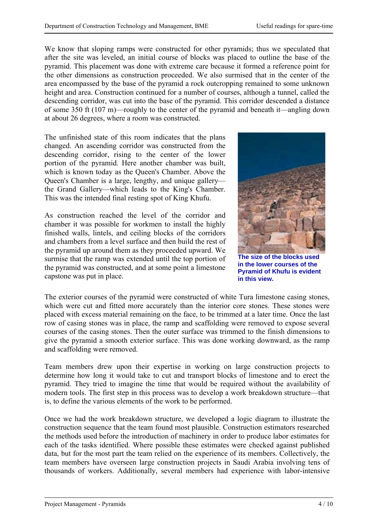We know that sloping ramps were constructed for other pyramids; thus we speculated that after the site was leveled, an initial course of blocks was placed to outline the base of the pyramid. This placement was done with extreme care because it formed a reference point for the other dimensions as construction proceeded. We also surmised that in the center of the area encompassed by the base of the pyramid a rock outcropping remained to some unknown height and area. Construction continued for a number of courses, although a tunnel, called the descending corridor, was cut into the base of the pyramid. This corridor descended a distance of some 350 ft (107 m)—roughly to the center of the pyramid and beneath it—angling down at about 26 degrees, where a room was constructed.

The unfinished state of this room indicates that the plans changed. An ascending corridor was constructed from the descending corridor, rising to the center of the lower portion of the pyramid. Here another chamber was built, which is known today as the Queen's Chamber. Above the Queen's Chamber is a large, lengthy, and unique gallery the Grand Gallery—which leads to the King's Chamber. This was the intended final resting spot of King Khufu.

As construction reached the level of the corridor and chamber it was possible for workmen to install the highly finished walls, lintels, and ceiling blocks of the corridors and chambers from a level surface and then build the rest of the pyramid up around them as they proceeded upward. We surmise that the ramp was extended until the top portion of the pyramid was constructed, and at some point a limestone capstone was put in place.



**The size of the blocks used in the lower courses of the Pyramid of Khufu is evident in this view.**

The exterior courses of the pyramid were constructed of white Tura limestone casing stones, which were cut and fitted more accurately than the interior core stones. These stones were placed with excess material remaining on the face, to be trimmed at a later time. Once the last row of casing stones was in place, the ramp and scaffolding were removed to expose several courses of the casing stones. Then the outer surface was trimmed to the finish dimensions to give the pyramid a smooth exterior surface. This was done working downward, as the ramp and scaffolding were removed.

Team members drew upon their expertise in working on large construction projects to determine how long it would take to cut and transport blocks of limestone and to erect the pyramid. They tried to imagine the time that would be required without the availability of modern tools. The first step in this process was to develop a work breakdown structure—that is, to define the various elements of the work to be performed.

Once we had the work breakdown structure, we developed a logic diagram to illustrate the construction sequence that the team found most plausible. Construction estimators researched the methods used before the introduction of machinery in order to produce labor estimates for each of the tasks identified. Where possible these estimates were checked against published data, but for the most part the team relied on the experience of its members. Collectively, the team members have overseen large construction projects in Saudi Arabia involving tens of thousands of workers. Additionally, several members had experience with labor-intensive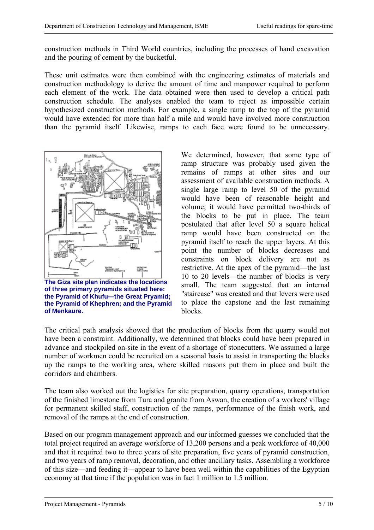construction methods in Third World countries, including the processes of hand excavation and the pouring of cement by the bucketful.

These unit estimates were then combined with the engineering estimates of materials and construction methodology to derive the amount of time and manpower required to perform each element of the work. The data obtained were then used to develop a critical path construction schedule. The analyses enabled the team to reject as impossible certain hypothesized construction methods. For example, a single ramp to the top of the pyramid would have extended for more than half a mile and would have involved more construction than the pyramid itself. Likewise, ramps to each face were found to be unnecessary.



**The Giza site plan indicates the locations of three primary pyramids situated here: the Pyramid of Khufu—the Great Pryamid; the Pyramid of Khephren; and the Pyramid of Menkaure.**

We determined, however, that some type of ramp structure was probably used given the remains of ramps at other sites and our assessment of available construction methods. A single large ramp to level 50 of the pyramid would have been of reasonable height and volume; it would have permitted two-thirds of the blocks to be put in place. The team postulated that after level 50 a square helical ramp would have been constructed on the pyramid itself to reach the upper layers. At this point the number of blocks decreases and constraints on block delivery are not as restrictive. At the apex of the pyramid—the last 10 to 20 levels—the number of blocks is very small. The team suggested that an internal "staircase" was created and that levers were used to place the capstone and the last remaining blocks.

The critical path analysis showed that the production of blocks from the quarry would not have been a constraint. Additionally, we determined that blocks could have been prepared in advance and stockpiled on-site in the event of a shortage of stonecutters. We assumed a large number of workmen could be recruited on a seasonal basis to assist in transporting the blocks up the ramps to the working area, where skilled masons put them in place and built the corridors and chambers.

The team also worked out the logistics for site preparation, quarry operations, transportation of the finished limestone from Tura and granite from Aswan, the creation of a workers' village for permanent skilled staff, construction of the ramps, performance of the finish work, and removal of the ramps at the end of construction.

Based on our program management approach and our informed guesses we concluded that the total project required an average workforce of 13,200 persons and a peak workforce of 40,000 and that it required two to three years of site preparation, five years of pyramid construction, and two years of ramp removal, decoration, and other ancillary tasks. Assembling a workforce of this size—and feeding it—appear to have been well within the capabilities of the Egyptian economy at that time if the population was in fact 1 million to 1.5 million.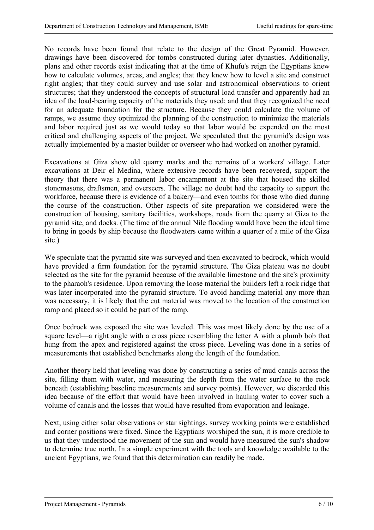No records have been found that relate to the design of the Great Pyramid. However, drawings have been discovered for tombs constructed during later dynasties. Additionally, plans and other records exist indicating that at the time of Khufu's reign the Egyptians knew how to calculate volumes, areas, and angles; that they knew how to level a site and construct right angles; that they could survey and use solar and astronomical observations to orient structures; that they understood the concepts of structural load transfer and apparently had an idea of the load-bearing capacity of the materials they used; and that they recognized the need for an adequate foundation for the structure. Because they could calculate the volume of ramps, we assume they optimized the planning of the construction to minimize the materials and labor required just as we would today so that labor would be expended on the most critical and challenging aspects of the project. We speculated that the pyramid's design was actually implemented by a master builder or overseer who had worked on another pyramid.

Excavations at Giza show old quarry marks and the remains of a workers' village. Later excavations at Deir el Medina, where extensive records have been recovered, support the theory that there was a permanent labor encampment at the site that housed the skilled stonemasons, draftsmen, and overseers. The village no doubt had the capacity to support the workforce, because there is evidence of a bakery—and even tombs for those who died during the course of the construction. Other aspects of site preparation we considered were the construction of housing, sanitary facilities, workshops, roads from the quarry at Giza to the pyramid site, and docks. (The time of the annual Nile flooding would have been the ideal time to bring in goods by ship because the floodwaters came within a quarter of a mile of the Giza site.)

We speculate that the pyramid site was surveyed and then excavated to bedrock, which would have provided a firm foundation for the pyramid structure. The Giza plateau was no doubt selected as the site for the pyramid because of the available limestone and the site's proximity to the pharaoh's residence. Upon removing the loose material the builders left a rock ridge that was later incorporated into the pyramid structure. To avoid handling material any more than was necessary, it is likely that the cut material was moved to the location of the construction ramp and placed so it could be part of the ramp.

Once bedrock was exposed the site was leveled. This was most likely done by the use of a square level—a right angle with a cross piece resembling the letter A with a plumb bob that hung from the apex and registered against the cross piece. Leveling was done in a series of measurements that established benchmarks along the length of the foundation.

Another theory held that leveling was done by constructing a series of mud canals across the site, filling them with water, and measuring the depth from the water surface to the rock beneath (establishing baseline measurements and survey points). However, we discarded this idea because of the effort that would have been involved in hauling water to cover such a volume of canals and the losses that would have resulted from evaporation and leakage.

Next, using either solar observations or star sightings, survey working points were established and corner positions were fixed. Since the Egyptians worshiped the sun, it is more credible to us that they understood the movement of the sun and would have measured the sun's shadow to determine true north. In a simple experiment with the tools and knowledge available to the ancient Egyptians, we found that this determination can readily be made.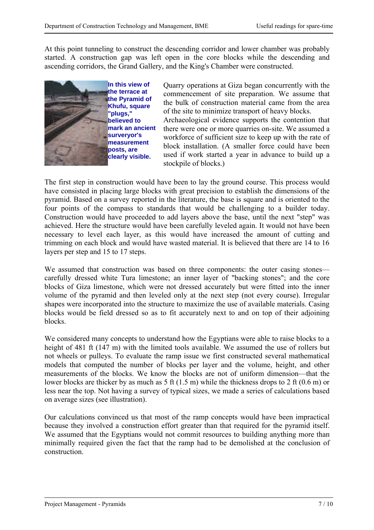At this point tunneling to construct the descending corridor and lower chamber was probably started. A construction gap was left open in the core blocks while the descending and ascending corridors, the Grand Gallery, and the King's Chamber were constructed.



Quarry operations at Giza began concurrently with the commencement of site preparation. We assume that the bulk of construction material came from the area of the site to minimize transport of heavy blocks.

Archaeological evidence supports the contention that there were one or more quarries on-site. We assumed a workforce of sufficient size to keep up with the rate of block installation. (A smaller force could have been used if work started a year in advance to build up a stockpile of blocks.)

The first step in construction would have been to lay the ground course. This process would have consisted in placing large blocks with great precision to establish the dimensions of the pyramid. Based on a survey reported in the literature, the base is square and is oriented to the four points of the compass to standards that would be challenging to a builder today. Construction would have proceeded to add layers above the base, until the next "step" was achieved. Here the structure would have been carefully leveled again. It would not have been necessary to level each layer, as this would have increased the amount of cutting and trimming on each block and would have wasted material. It is believed that there are 14 to 16 layers per step and 15 to 17 steps.

We assumed that construction was based on three components: the outer casing stones carefully dressed white Tura limestone; an inner layer of "backing stones"; and the core blocks of Giza limestone, which were not dressed accurately but were fitted into the inner volume of the pyramid and then leveled only at the next step (not every course). Irregular shapes were incorporated into the structure to maximize the use of available materials. Casing blocks would be field dressed so as to fit accurately next to and on top of their adjoining blocks.

We considered many concepts to understand how the Egyptians were able to raise blocks to a height of 481 ft (147 m) with the limited tools available. We assumed the use of rollers but not wheels or pulleys. To evaluate the ramp issue we first constructed several mathematical models that computed the number of blocks per layer and the volume, height, and other measurements of the blocks. We know the blocks are not of uniform dimension—that the lower blocks are thicker by as much as 5 ft (1.5 m) while the thickness drops to 2 ft (0.6 m) or less near the top. Not having a survey of typical sizes, we made a series of calculations based on average sizes (see illustration).

Our calculations convinced us that most of the ramp concepts would have been impractical because they involved a construction effort greater than that required for the pyramid itself. We assumed that the Egyptians would not commit resources to building anything more than minimally required given the fact that the ramp had to be demolished at the conclusion of construction.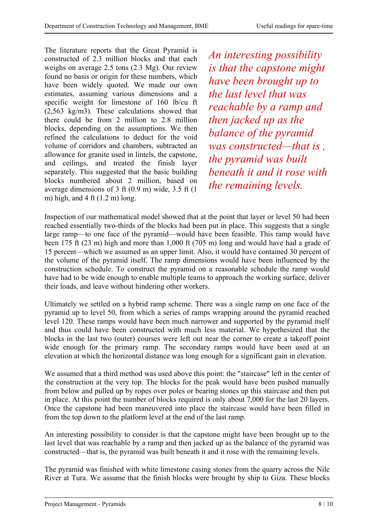The literature reports that the Great Pyramid is constructed of 2.3 million blocks and that each weighs on average 2.5 tons (2.3 Mg). Our review found no basis or origin for these numbers, which have been widely quoted. We made our own estimates, assuming various dimensions and a specific weight for limestone of 160 lb/cu ft (2,563 kg/m3). These calculations showed that there could be from 2 million to 2.8 million blocks, depending on the assumptions. We then refined the calculations to deduct for the void volume of corridors and chambers, subtracted an allowance for granite used in lintels, the capstone, and ceilings, and treated the finish layer separately. This suggested that the basic building blocks numbered about 2 million, based on average dimensions of 3 ft (0.9 m) wide, 3.5 ft (1 m) high, and  $4 \text{ ft} (1.2 \text{ m})$  long.

*An interesting possibility is that the capstone might have been brought up to the last level that was reachable by a ramp and then jacked up as the balance of the pyramid was constructed—that is , the pyramid was built beneath it and it rose with the remaining levels.*

Inspection of our mathematical model showed that at the point that layer or level 50 had been reached essentially two-thirds of the blocks had been put in place. This suggests that a single large ramp—to one face of the pyramid—would have been feasible. This ramp would have been 175 ft (23 m) high and more than 1,000 ft (705 m) long and would have had a grade of 15 percent—which we assumed as an upper limit. Also, it would have contained 30 percent of the volume of the pyramid itself. The ramp dimensions would have been influenced by the construction schedule. To construct the pyramid on a reasonable schedule the ramp would have had to be wide enough to enable multiple teams to approach the working surface, deliver their loads, and leave without hindering other workers.

Ultimately we settled on a hybrid ramp scheme. There was a single ramp on one face of the pyramid up to level 50, from which a series of ramps wrapping around the pyramid reached level 120. These ramps would have been much narrower and supported by the pyramid itself and thus could have been constructed with much less material. We hypothesized that the blocks in the last two (outer) courses were left out near the corner to create a takeoff point wide enough for the primary ramp. The secondary ramps would have been used at an elevation at which the horizontal distance was long enough for a significant gain in elevation.

We assumed that a third method was used above this point: the "staircase" left in the center of the construction at the very top. The blocks for the peak would have been pushed manually from below and pulled up by ropes over poles or bearing stones up this staircase and then put in place. At this point the number of blocks required is only about 7,000 for the last 20 layers. Once the capstone had been maneuvered into place the staircase would have been filled in from the top down to the platform level at the end of the last ramp.

An interesting possibility to consider is that the capstone might have been brought up to the last level that was reachable by a ramp and then jacked up as the balance of the pyramid was constructed—that is, the pyramid was built beneath it and it rose with the remaining levels.

The pyramid was finished with white limestone casing stones from the quarry across the Nile River at Tura. We assume that the finish blocks were brought by ship to Giza. These blocks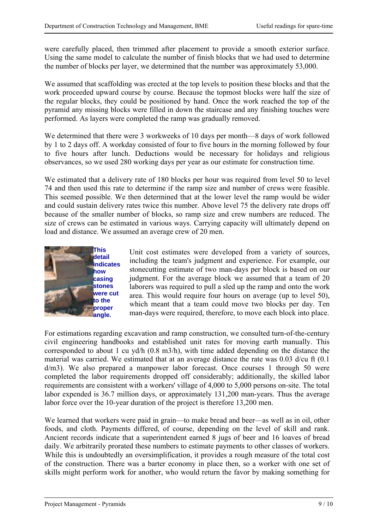were carefully placed, then trimmed after placement to provide a smooth exterior surface. Using the same model to calculate the number of finish blocks that we had used to determine the number of blocks per layer, we determined that the number was approximately 53,000.

We assumed that scaffolding was erected at the top levels to position these blocks and that the work proceeded upward course by course. Because the topmost blocks were half the size of the regular blocks, they could be positioned by hand. Once the work reached the top of the pyramid any missing blocks were filled in down the staircase and any finishing touches were performed. As layers were completed the ramp was gradually removed.

We determined that there were 3 workweeks of 10 days per month—8 days of work followed by 1 to 2 days off. A workday consisted of four to five hours in the morning followed by four to five hours after lunch. Deductions would be necessary for holidays and religious observances, so we used 280 working days per year as our estimate for construction time.

We estimated that a delivery rate of 180 blocks per hour was required from level 50 to level 74 and then used this rate to determine if the ramp size and number of crews were feasible. This seemed possible. We then determined that at the lower level the ramp would be wider and could sustain delivery rates twice this number. Above level 75 the delivery rate drops off because of the smaller number of blocks, so ramp size and crew numbers are reduced. The size of crews can be estimated in various ways. Carrying capacity will ultimately depend on load and distance. We assumed an average crew of 20 men.



Unit cost estimates were developed from a variety of sources, including the team's judgment and experience. For example, our stonecutting estimate of two man-days per block is based on our judgment. For the average block we assumed that a team of 20 laborers was required to pull a sled up the ramp and onto the work area. This would require four hours on average (up to level 50), which meant that a team could move two blocks per day. Ten man-days were required, therefore, to move each block into place.

For estimations regarding excavation and ramp construction, we consulted turn-of-the-century civil engineering handbooks and established unit rates for moving earth manually. This corresponded to about 1 cu yd/h (0.8 m3/h), with time added depending on the distance the material was carried. We estimated that at an average distance the rate was 0.03 d/cu ft (0.1 d/m3). We also prepared a manpower labor forecast. Once courses 1 through 50 were completed the labor requirements dropped off considerably; additionally, the skilled labor requirements are consistent with a workers' village of 4,000 to 5,000 persons on-site. The total labor expended is 36.7 million days, or approximately 131,200 man-years. Thus the average labor force over the 10-year duration of the project is therefore 13,200 men.

We learned that workers were paid in grain—to make bread and beer—as well as in oil, other foods, and cloth. Payments differed, of course, depending on the level of skill and rank. Ancient records indicate that a superintendent earned 8 jugs of beer and 16 loaves of bread daily. We arbitrarily prorated these numbers to estimate payments to other classes of workers. While this is undoubtedly an oversimplification, it provides a rough measure of the total cost of the construction. There was a barter economy in place then, so a worker with one set of skills might perform work for another, who would return the favor by making something for